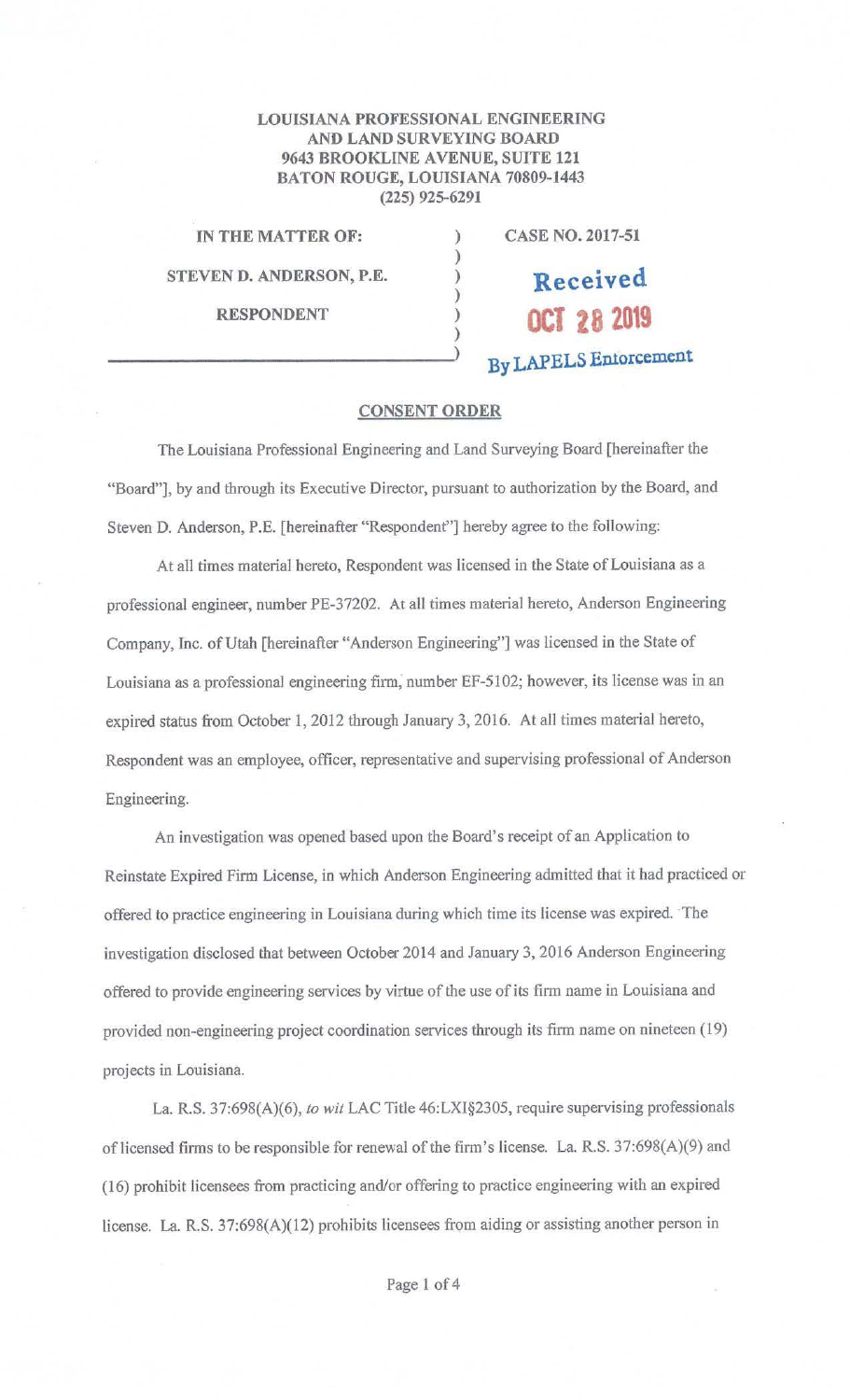## **LOUISIANA PROFESSIONAL ENGINEERING AND LAND SURVEYING BOARD 9643 BROOKLINE A VENUE, SUITE 121 BATON ROUGE, LOUISIANA 70809-1443 (225) 925-6291**

) ) ) ) ) )

**IN THE MATTER OF: STEVEN D. ANDERSON, P.E.** 

**RESPONDENT**   $)$   $)$   $)$  **CASE NO. 2017-51** 

**Received OCT 28 2019 By LAPELS Emorcement** 

## **CONSENT ORDER**

The Louisiana Professional Engineering and Land Surveying Board [hereinafter the "Board"], by and through its Executive Director, pursuant to authorization by the Board, and Steven **D.** Anderson, P.E. [hereinafter "Respondent"] hereby agree to the following:

At all times material hereto, Respondent was licensed in the State of Louisiana as a professional engineer, number PE-37202. At all times material hereto, Anderson Engineering Company, Inc. of Utah [hereinafter "Anderson Engineering"] was licensed in the State of Louisiana as a professional engineering firm, number EF-5102; however, its license was in an expired status from October I, 2012 through January 3, 2016. At all times material hereto, Respondent was an employee, officer, representative and supervising professional of Anderson Engineering.

An investigation was opened based upon the Board's receipt of an Application to Reinstate Expired Finn License, in which Anderson Engineering admitted that it had practiced or offered to practice engineering in Louisiana during which time its license was expired. The investigation disclosed that between October 2014 and January 3, 2016 Anderson Engineering offered to provide engineering services by virtue of the use of its finn name in Louisiana and provided non-engineering project coordination services through its firm name on nineteen (19) projects in Louisiana.

La. R.S. 37:698(A)(6), *to wit* LAC Title 46:LXI§2305, require supervising professionals of licensed firms to be responsible for renewal of the firm's license. La. R.S.  $37:698(A)(9)$  and (16) prohibit licensees from practicing and/or offering to practice engineering with an expired license. La R.S. 37:698(A)(12) prohibits licensees from aiding or assisting another person in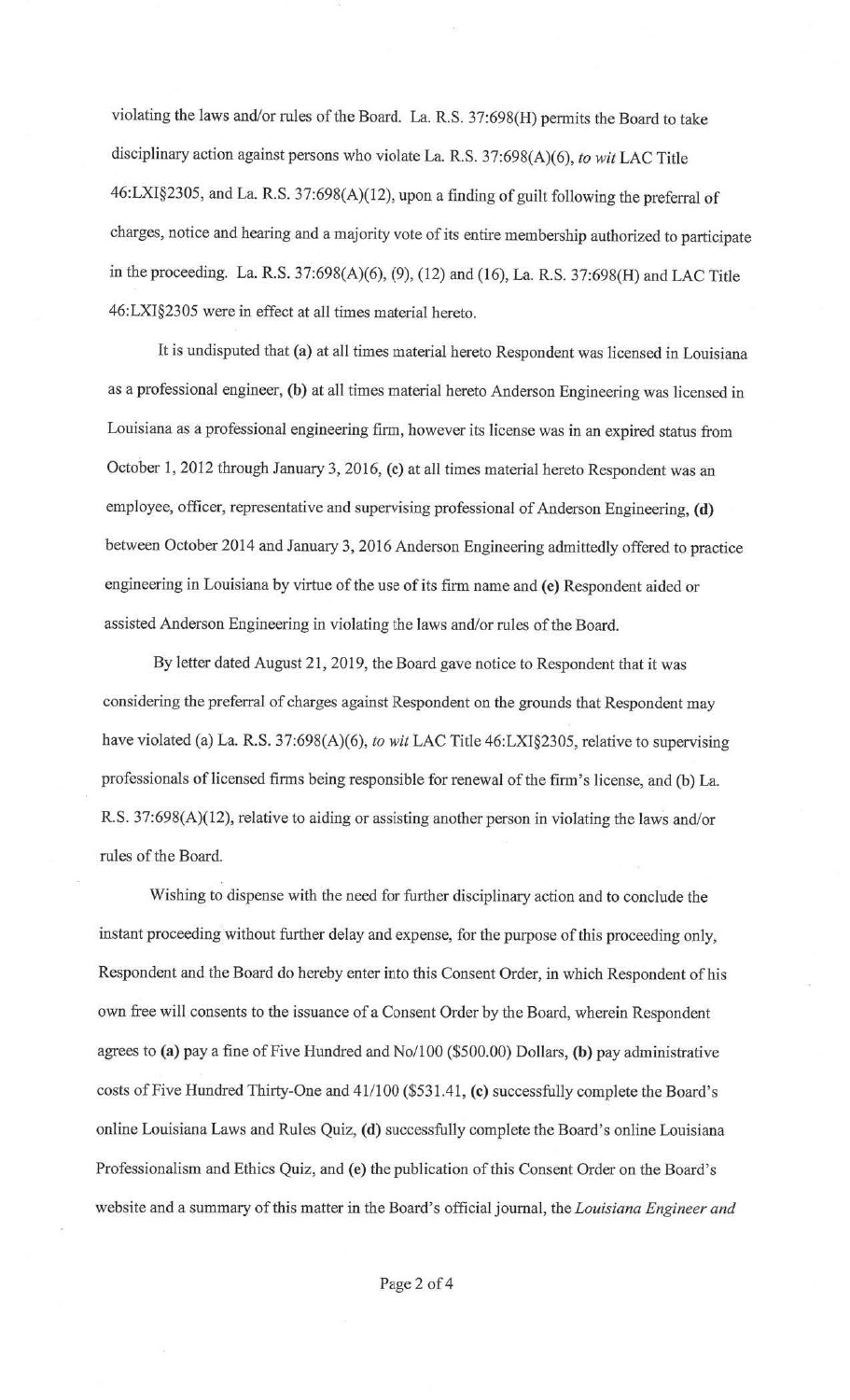violating the laws and/or rules of the Board. La. R.S. 37:698(H) permits the Board to take disciplinary action against persons who violate La. R.S. 37:698(A)(6), *to wit* LAC Title 46:LXI§2305, and La. R.S. 37:698(A)(12), upon a finding of guilt following the preferral of charges, notice and hearing and a majority vote of its entire membership authorized to participate in the proceeding. La. R.S. 37:698(A)(6), (9), (12) and (16), La. R.S. 37:698(H) and LAC Title 46:LXI§2305 were in effect at all times material hereto.

It is undisputed that **(a)** at all times material hereto Respondent was licensed in Louisiana as a professional engineer, **(b)** at all times material hereto Anderson Engineering was licensed in Louisiana as a professional engineering firm, however its license was in an expired status from October 1, 2012 through January 3, 2016, (c) at all times material hereto Respondent was an employee, officer, representative and supervising professional of Anderson Engineering, (d) between October 2014 and.January 3, 2016 Anderson Engineering admittedly offered to practice engineering in Louisiana by virtue of the use of its firm name and (e) Respondent aided or assisted Anderson Engineering in violating the laws and/or rules of the Board.

By letter dated August 21, 2019, the Board gave notice to Respondent that it was considering the preferral of charges against Respondent on the grounds that Respondent may have violated (a) La. R.S. 37:698(A)(6), *to wit* LAC Title 46:LXI§2305, relative to supervising professionals of licensed firms being responsible for renewal of the firm's license, and (b) La. R.S. 37:698(A)(12), relative to aiding or assisting another person in violating the laws and/or rules of the Board.

Wishing to dispense with the need for further disciplinary action and to conclude the instant proceeding without further delay and expense, for the purpose of this proceeding only, Respondent and the Board do hereby enter into this Consent Order, in which Respondent of his own free will consents to the issuance of a Consent Order by the Board, wherein Respondent agrees to **(a)** pay a fine of Five Hundred and No/100 (\$500.00) Dollars, **(b)** pay administrative costs of Five Hundred Thirty-One and41/100 (\$531.41, **(c)** successfully complete the Board's online Louisiana Laws and Rules Quiz, **(d)** successfully complete the Board's online Louisiana Professionalism and Ethics Quiz, and **(e)** the publication of this Consent Order on the Board's website and a summary of this matter in the Board's official journal, the *Louisiana Engineer and*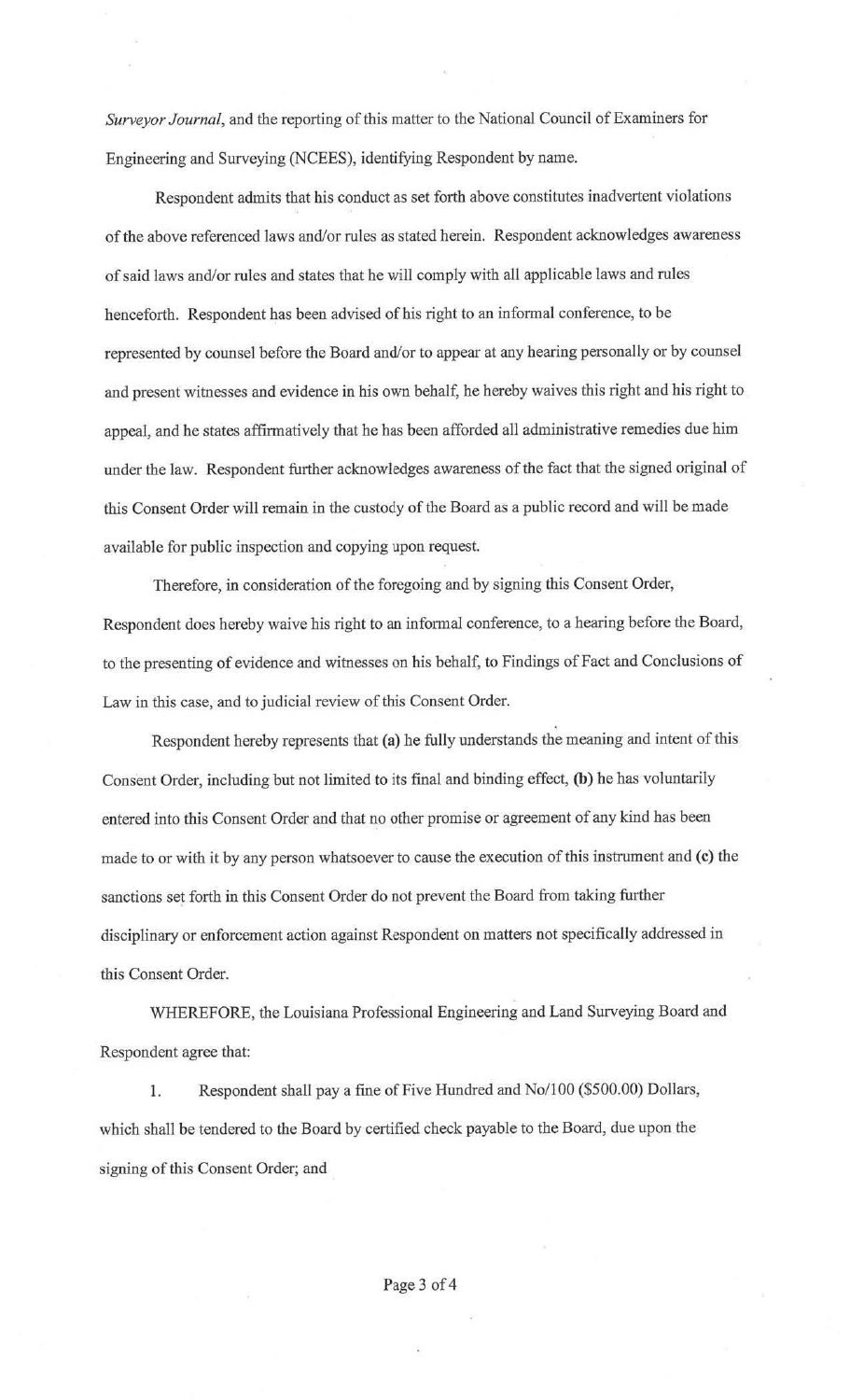*Surveyor Journal,* and the reporting of this matter to the National Council of Examiners for Engineering and Surveying (NCEES), identifying Respondent by name.

Respondent admits that his conduct as set forth above constitutes inadvertent violations of the above referenced laws and/or rules as stated herein. Respondent acknowledges awareness of said laws and/or rules and states that he will comply with all applicable laws and rules henceforth. Respondent has been advised of his right to an informal conference, to be represented by counsel before the Board and/or to appear at any hearing personally or by counsel and present witnesses and evidence in his own behalf, he hereby waives this right and his right to appeal, and he states affirmatively that he has been afforded all administrative remedies due him under the law. Respondent further acknowledges awareness of the fact that the signed original of this Consent Order will remain in the custody of the Board as a public record and will be made available for public inspection and copying upon request.

Therefore, in consideration of the foregoing and by signing this Consent Order, Respondent does hereby waive his right to an informal conference, to a hearing before the Board, to the presenting of evidence and witnesses on his behalf, to Findings of Fact and Conclusions of Law in this case, and to judicial review of this Consent Order.

Respondent hereby represents that **(a)** he fully understands the meaning and intent of this Consent Order, including but not limited to its final and binding effect, **(b)** he has voluntarily entered into this Consent Order and that no other promise or agreement of any kind has been made to or with it by any person whatsoever to cause the execution of this instrument and (c) the sanctions set forth in this Consent Order do not prevent the Board from taking further disciplinary or enforcement action against Respondent on matters not specifically addressed in this Consent Order.

WHEREFORE, the Louisiana Professional Engineering and Land Surveying Board and Respondent agree that:

1. Respondent shall pay a fine of Five Hundred and No/100 (\$500.00) Dollars, which shall be tendered to the Board by certified check payable to the Board, due upon the signing of this Consent Order; and